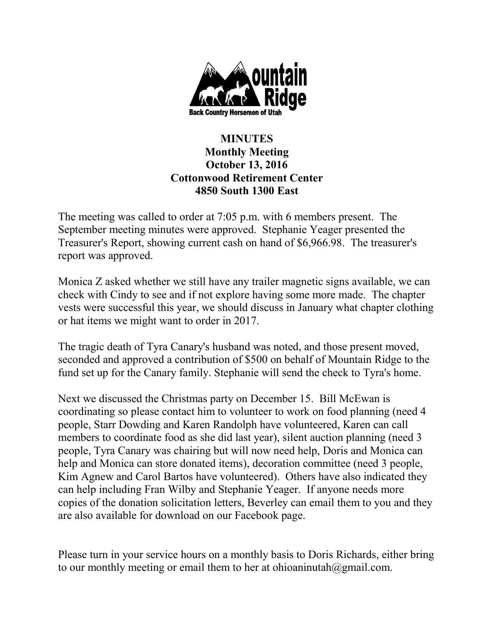

## **MINUTES Monthly Meeting October 13, 2016 Cottonwood Retirement Center 4850 South 1300 East**

The meeting was called to order at 7:05 p.m. with 6 members present. The September meeting minutes were approved. Stephanie Yeager presented the Treasurer's Report, showing current cash on hand of \$6,966.98. The treasurer's report was approved.

Monica Z asked whether we still have any trailer magnetic signs available, we can check with Cindy to see and if not explore having some more made. The chapter vests were successful this year, we should discuss in January what chapter clothing or hat items we might want to order in 2017.

The tragic death of Tyra Canary's husband was noted, and those present moved, seconded and approved a contribution of \$500 on behalf of Mountain Ridge to the fund set up for the Canary family. Stephanie will send the check to Tyra's home.

Next we discussed the Christmas party on December 15. Bill McEwan is coordinating so please contact him to volunteer to work on food planning (need 4 people, Starr Dowding and Karen Randolph have volunteered, Karen can call members to coordinate food as she did last year), silent auction planning (need 3 people, Tyra Canary was chairing but will now need help, Doris and Monica can help and Monica can store donated items), decoration committee (need 3 people, Kim Agnew and Carol Bartos have volunteered). Others have also indicated they can help including Fran Wilby and Stephanie Yeager. If anyone needs more copies of the donation solicitation letters, Beverley can email them to you and they are also available for download on our Facebook page.

Please turn in your service hours on a monthly basis to Doris Richards, either bring to our monthly meeting or email them to her at ohioaninutah $@g$ mail.com.